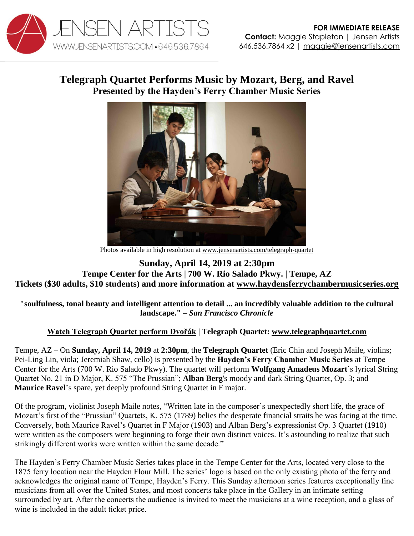

## **Telegraph Quartet Performs Music by Mozart, Berg, and Ravel Presented by the Hayden's Ferry Chamber Music Series**



Photos available in high resolution at [www.jensenartists.com/telegraph-quartet](http://www.jensenartists.com/telegraph-quartet)

**Sunday, April 14, 2019 at 2:30pm Tempe Center for the Arts | 700 W. Rio Salado Pkwy. | Tempe, AZ Tickets (\$30 adults, \$10 students) and more information at [www.haydensferrychambermusicseries.org](http://www.haydensferrychambermusicseries.org/)**

## **"soulfulness, tonal beauty and intelligent attention to detail ... an incredibly valuable addition to the cultural landscape." –** *San Francisco Chronicle*

## **[Watch Telegraph Quartet perform Dvořák](https://youtu.be/dgI4xUcPUZ8)** | **Telegraph Quartet: [www.telegraphquartet.com](http://www.telegraphquartet.com/)**

Tempe, AZ – On **Sunday, April 14, 2019** at **2:30pm**, the **Telegraph Quartet** (Eric Chin and Joseph Maile, violins; Pei-Ling Lin, viola; Jeremiah Shaw, cello) is presented by the **Hayden's Ferry Chamber Music Series** at Tempe Center for the Arts (700 W. Rio Salado Pkwy). The quartet will perform **Wolfgang Amadeus Mozart**'s lyrical String Quartet No. 21 in D Major, K. 575 "The Prussian"; **Alban Berg**'s moody and dark String Quartet, Op. 3; and **Maurice Ravel**'s spare, yet deeply profound String Quartet in F major.

Of the program, violinist Joseph Maile notes, "Written late in the composer's unexpectedly short life, the grace of Mozart's first of the "Prussian" Quartets, K. 575 (1789) belies the desperate financial straits he was facing at the time. Conversely, both Maurice Ravel's Quartet in F Major (1903) and Alban Berg's expressionist Op. 3 Quartet (1910) were written as the composers were beginning to forge their own distinct voices. It's astounding to realize that such strikingly different works were written within the same decade."

The Hayden's Ferry Chamber Music Series takes place in the Tempe Center for the Arts, located very close to the 1875 ferry location near the Hayden Flour Mill. The series' logo is based on the only existing photo of the ferry and acknowledges the original name of Tempe, Hayden's Ferry. This Sunday afternoon series features exceptionally fine musicians from all over the United States, and most concerts take place in the Gallery in an intimate setting surrounded by art. After the concerts the audience is invited to meet the musicians at a wine reception, and a glass of wine is included in the adult ticket price.